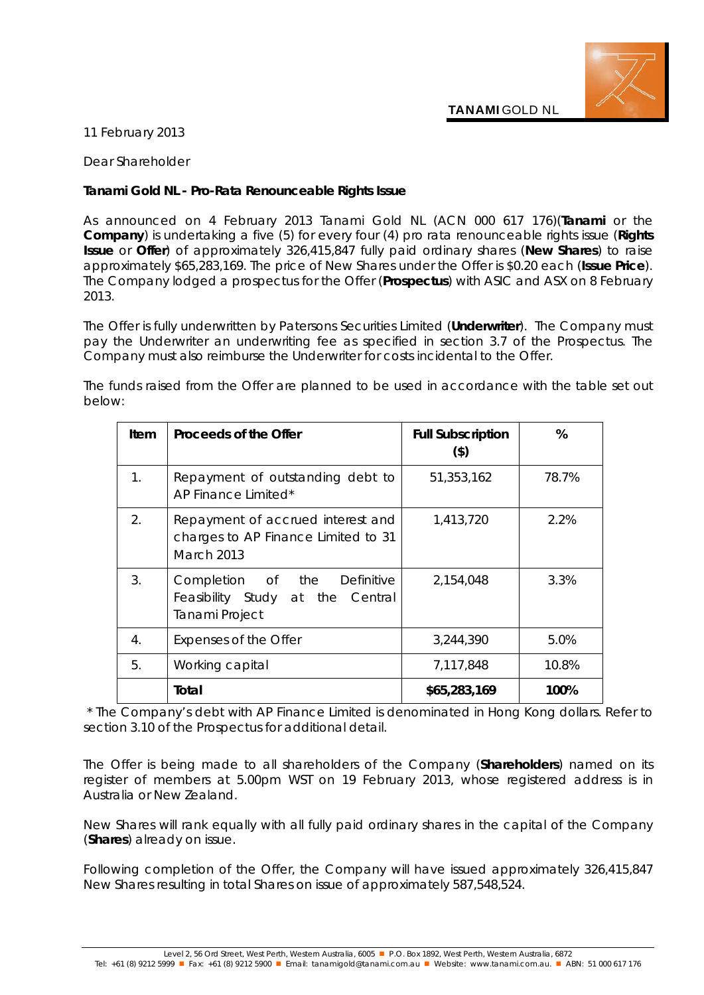**TANAMI** GOLD NL

## 11 February 2013

Dear Shareholder

## **Tanami Gold NL - Pro-Rata Renounceable Rights Issue**

As announced on 4 February 2013 Tanami Gold NL (ACN 000 617 176)(**Tanami** or the **Company**) is undertaking a five (5) for every four (4) pro rata renounceable rights issue (**Rights Issue** or **Offer**) of approximately 326,415,847 fully paid ordinary shares (**New Shares**) to raise approximately \$65,283,169. The price of New Shares under the Offer is \$0.20 each (**Issue Price**). The Company lodged a prospectus for the Offer (**Prospectus**) with ASIC and ASX on 8 February 2013.

The Offer is fully underwritten by Patersons Securities Limited (**Underwriter**). The Company must pay the Underwriter an underwriting fee as specified in section 3.7 of the Prospectus. The Company must also reimburse the Underwriter for costs incidental to the Offer.

| Item | Proceeds of the Offer                                                                         | <b>Full Subscription</b><br>$($ \$) | %     |
|------|-----------------------------------------------------------------------------------------------|-------------------------------------|-------|
| 1.   | Repayment of outstanding debt to<br>AP Finance Limited*                                       | 51,353,162                          | 78.7% |
| 2.   | Repayment of accrued interest and<br>charges to AP Finance Limited to 31<br><b>March 2013</b> | 1,413,720                           | 2.2%  |
| 3.   | Completion of the Definitive<br>Feasibility Study at the Central<br>Tanami Project            | 2,154,048                           | 3.3%  |
| 4.   | Expenses of the Offer                                                                         | 3,244,390                           | 5.0%  |
| 5.   | Working capital                                                                               | 7,117,848                           | 10.8% |
|      | Total                                                                                         | \$65,283,169                        | 100%  |

The funds raised from the Offer are planned to be used in accordance with the table set out below:

*\* The Company's debt with AP Finance Limited is denominated in Hong Kong dollars. Refer to section 3.10 of the Prospectus for additional detail.*

The Offer is being made to all shareholders of the Company (**Shareholders**) named on its register of members at 5.00pm WST on 19 February 2013, whose registered address is in Australia or New Zealand.

New Shares will rank equally with all fully paid ordinary shares in the capital of the Company (**Shares**) already on issue.

Following completion of the Offer, the Company will have issued approximately 326,415,847 New Shares resulting in total Shares on issue of approximately 587,548,524.